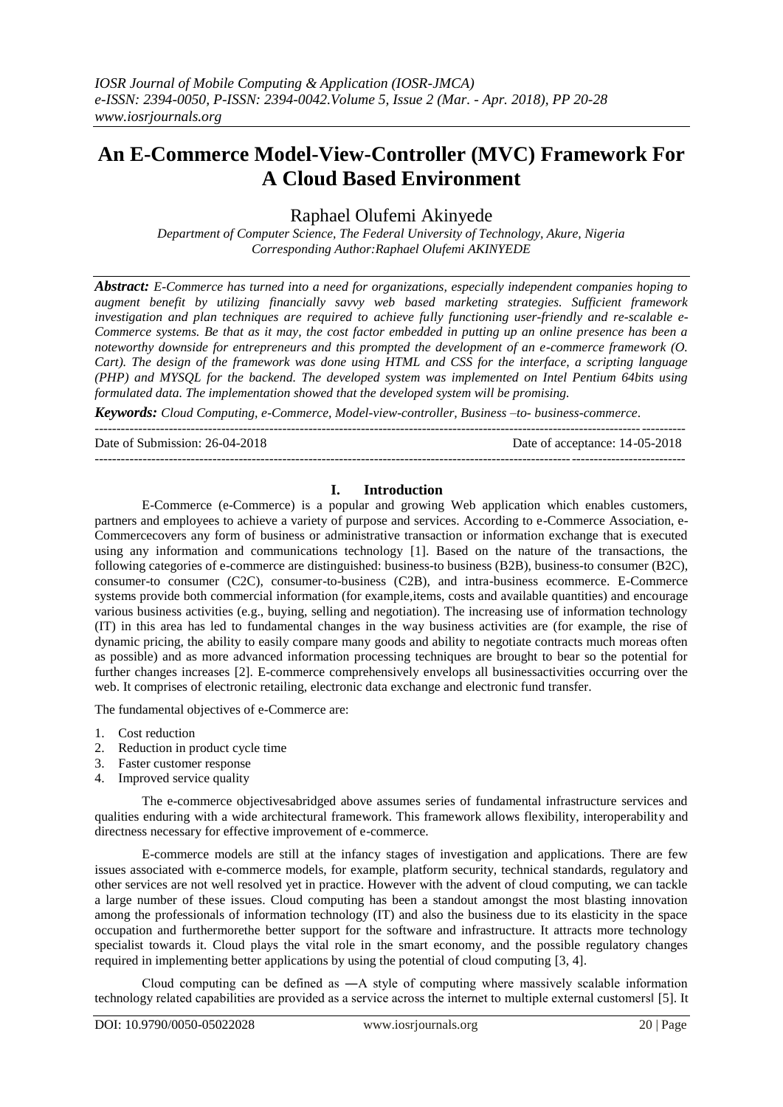# **An E-Commerce Model-View-Controller (MVC) Framework For A Cloud Based Environment**

Raphael Olufemi Akinyede

*Department of Computer Science, The Federal University of Technology, Akure, Nigeria Corresponding Author:Raphael Olufemi AKINYEDE*

*Abstract: E-Commerce has turned into a need for organizations, especially independent companies hoping to augment benefit by utilizing financially savvy web based marketing strategies. Sufficient framework investigation and plan techniques are required to achieve fully functioning user-friendly and re-scalable e-Commerce systems. Be that as it may, the cost factor embedded in putting up an online presence has been a noteworthy downside for entrepreneurs and this prompted the development of an e-commerce framework (O. Cart). The design of the framework was done using HTML and CSS for the interface, a scripting language (PHP) and MYSQL for the backend. The developed system was implemented on Intel Pentium 64bits using formulated data. The implementation showed that the developed system will be promising.*

*Keywords: Cloud Computing, e-Commerce, Model-view-controller, Business –to- business-commerce*.

---------------------------------------------------------------------------------------------------------------------------------------

---------------------------------------------------------------------------------------------------------------------------------------

Date of Submission: 26-04-2018 Date of acceptance: 14-05-2018

### **I. Introduction**

E-Commerce (e-Commerce) is a popular and growing Web application which enables customers, partners and employees to achieve a variety of purpose and services. According to e-Commerce Association, e-Commercecovers any form of business or administrative transaction or information exchange that is executed using any information and communications technology [1]. Based on the nature of the transactions, the following categories of e-commerce are distinguished: business-to business (B2B), business-to consumer (B2C), consumer-to consumer (C2C), consumer-to-business (C2B), and intra-business ecommerce. E-Commerce systems provide both commercial information (for example,items, costs and available quantities) and encourage various business activities (e.g., buying, selling and negotiation). The increasing use of information technology (IT) in this area has led to fundamental changes in the way business activities are (for example, the rise of dynamic pricing, the ability to easily compare many goods and ability to negotiate contracts much moreas often as possible) and as more advanced information processing techniques are brought to bear so the potential for further changes increases [2]. E-commerce comprehensively envelops all businessactivities occurring over the web. It comprises of electronic retailing, electronic data exchange and electronic fund transfer.

The fundamental objectives of e-Commerce are:

- 1. Cost reduction
- 2. Reduction in product cycle time
- 3. Faster customer response
- 4. Improved service quality

The e-commerce objectivesabridged above assumes series of fundamental infrastructure services and qualities enduring with a wide architectural framework. This framework allows flexibility, interoperability and directness necessary for effective improvement of e-commerce.

E-commerce models are still at the infancy stages of investigation and applications. There are few issues associated with e-commerce models, for example, platform security, technical standards, regulatory and other services are not well resolved yet in practice. However with the advent of cloud computing, we can tackle a large number of these issues. Cloud computing has been a standout amongst the most blasting innovation among the professionals of information technology (IT) and also the business due to its elasticity in the space occupation and furthermorethe better support for the software and infrastructure. It attracts more technology specialist towards it. Cloud plays the vital role in the smart economy, and the possible regulatory changes required in implementing better applications by using the potential of cloud computing [3, 4].

Cloud computing can be defined as ―A style of computing where massively scalable information technology related capabilities are provided as a service across the internet to multiple external customers‖ [5]. It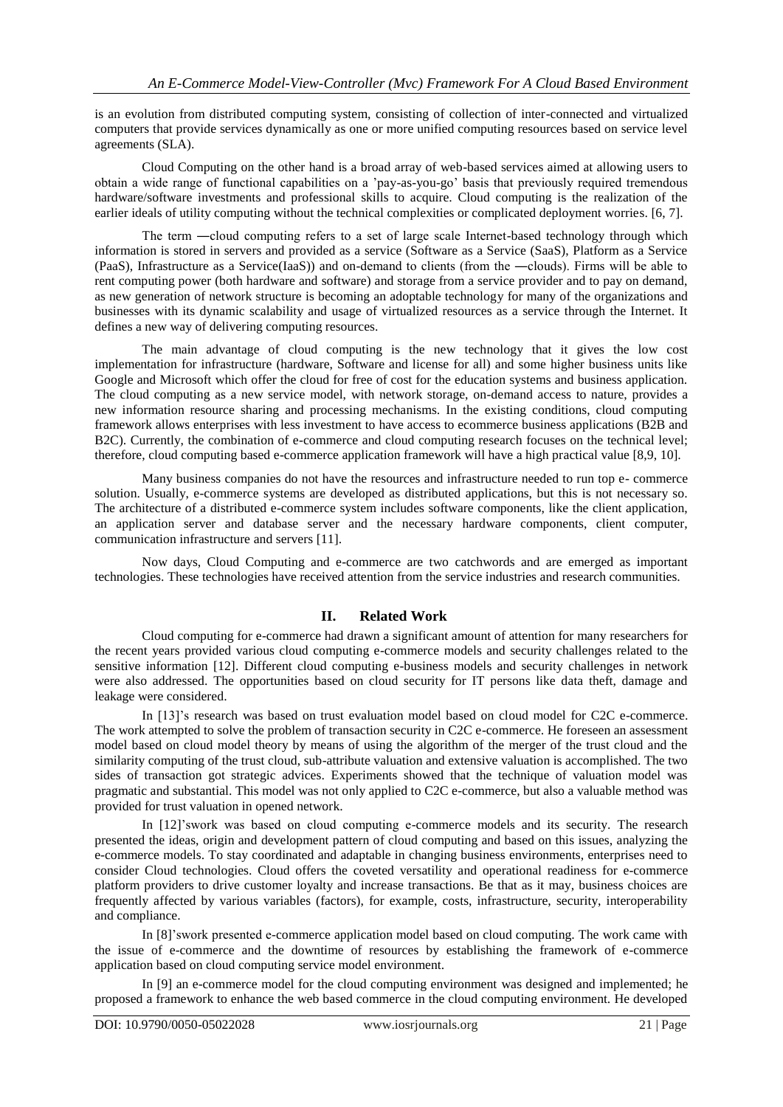is an evolution from distributed computing system, consisting of collection of inter-connected and virtualized computers that provide services dynamically as one or more unified computing resources based on service level agreements (SLA).

Cloud Computing on the other hand is a broad array of web-based services aimed at allowing users to obtain a wide range of functional capabilities on a 'pay-as-you-go' basis that previously required tremendous hardware/software investments and professional skills to acquire. Cloud computing is the realization of the earlier ideals of utility computing without the technical complexities or complicated deployment worries. [6, 7].

The term ―cloud computing refers to a set of large scale Internet-based technology through which information is stored in servers and provided as a service (Software as a Service (SaaS), Platform as a Service (PaaS), Infrastructure as a Service(IaaS)) and on-demand to clients (from the ―clouds). Firms will be able to rent computing power (both hardware and software) and storage from a service provider and to pay on demand, as new generation of network structure is becoming an adoptable technology for many of the organizations and businesses with its dynamic scalability and usage of virtualized resources as a service through the Internet. It defines a new way of delivering computing resources.

The main advantage of cloud computing is the new technology that it gives the low cost implementation for infrastructure (hardware, Software and license for all) and some higher business units like Google and Microsoft which offer the cloud for free of cost for the education systems and business application. The cloud computing as a new service model, with network storage, on-demand access to nature, provides a new information resource sharing and processing mechanisms. In the existing conditions, cloud computing framework allows enterprises with less investment to have access to ecommerce business applications (B2B and B2C). Currently, the combination of e-commerce and cloud computing research focuses on the technical level; therefore, cloud computing based e-commerce application framework will have a high practical value [8,9, 10].

Many business companies do not have the resources and infrastructure needed to run top e- commerce solution. Usually, e-commerce systems are developed as distributed applications, but this is not necessary so. The architecture of a distributed e-commerce system includes software components, like the client application, an application server and database server and the necessary hardware components, client computer, communication infrastructure and servers [11].

Now days, Cloud Computing and e-commerce are two catchwords and are emerged as important technologies. These technologies have received attention from the service industries and research communities.

## **II. Related Work**

Cloud computing for e-commerce had drawn a significant amount of attention for many researchers for the recent years provided various cloud computing e-commerce models and security challenges related to the sensitive information [12]. Different cloud computing e-business models and security challenges in network were also addressed. The opportunities based on cloud security for IT persons like data theft, damage and leakage were considered.

In [13]'s research was based on trust evaluation model based on cloud model for C2C e-commerce. The work attempted to solve the problem of transaction security in C2C e-commerce. He foreseen an assessment model based on cloud model theory by means of using the algorithm of the merger of the trust cloud and the similarity computing of the trust cloud, sub-attribute valuation and extensive valuation is accomplished. The two sides of transaction got strategic advices. Experiments showed that the technique of valuation model was pragmatic and substantial. This model was not only applied to C2C e-commerce, but also a valuable method was provided for trust valuation in opened network.

In [12]'swork was based on cloud computing e-commerce models and its security. The research presented the ideas, origin and development pattern of cloud computing and based on this issues, analyzing the e-commerce models. To stay coordinated and adaptable in changing business environments, enterprises need to consider Cloud technologies. Cloud offers the coveted versatility and operational readiness for e-commerce platform providers to drive customer loyalty and increase transactions. Be that as it may, business choices are frequently affected by various variables (factors), for example, costs, infrastructure, security, interoperability and compliance.

In [8]'swork presented e-commerce application model based on cloud computing. The work came with the issue of e-commerce and the downtime of resources by establishing the framework of e-commerce application based on cloud computing service model environment.

In [9] an e-commerce model for the cloud computing environment was designed and implemented; he proposed a framework to enhance the web based commerce in the cloud computing environment. He developed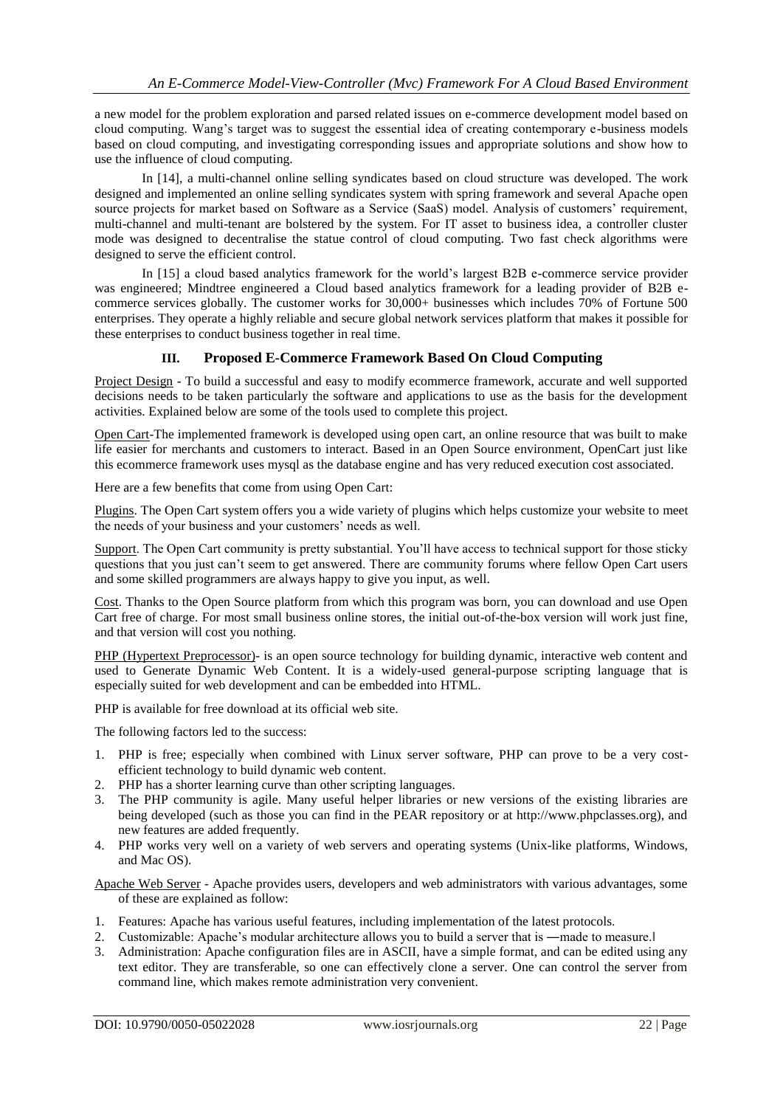a new model for the problem exploration and parsed related issues on e-commerce development model based on cloud computing. Wang's target was to suggest the essential idea of creating contemporary e-business models based on cloud computing, and investigating corresponding issues and appropriate solutions and show how to use the influence of cloud computing.

In [14], a multi-channel online selling syndicates based on cloud structure was developed. The work designed and implemented an online selling syndicates system with spring framework and several Apache open source projects for market based on Software as a Service (SaaS) model. Analysis of customers' requirement, multi-channel and multi-tenant are bolstered by the system. For IT asset to business idea, a controller cluster mode was designed to decentralise the statue control of cloud computing. Two fast check algorithms were designed to serve the efficient control.

In [15] a cloud based analytics framework for the world's largest B2B e-commerce service provider was engineered; Mindtree engineered a Cloud based analytics framework for a leading provider of B2B ecommerce services globally. The customer works for 30,000+ businesses which includes 70% of Fortune 500 enterprises. They operate a highly reliable and secure global network services platform that makes it possible for these enterprises to conduct business together in real time.

## **III. Proposed E-Commerce Framework Based On Cloud Computing**

Project Design - To build a successful and easy to modify ecommerce framework, accurate and well supported decisions needs to be taken particularly the software and applications to use as the basis for the development activities. Explained below are some of the tools used to complete this project.

Open Cart-The implemented framework is developed using open cart, an online resource that was built to make life easier for merchants and customers to interact. Based in an Open Source environment, OpenCart just like this ecommerce framework uses mysql as the database engine and has very reduced execution cost associated.

Here are a few benefits that come from using Open Cart:

Plugins. The Open Cart system offers you a wide variety of plugins which helps customize your website to meet the needs of your business and your customers' needs as well.

Support. The Open Cart community is pretty substantial. You'll have access to technical support for those sticky questions that you just can't seem to get answered. There are community forums where fellow Open Cart users and some skilled programmers are always happy to give you input, as well.

Cost. Thanks to the Open Source platform from which this program was born, you can download and use Open Cart free of charge. For most small business online stores, the initial out-of-the-box version will work just fine, and that version will cost you nothing.

PHP (Hypertext Preprocessor)- is an open source technology for building dynamic, interactive web content and used to Generate Dynamic Web Content. It is a widely-used general-purpose scripting language that is especially suited for web development and can be embedded into HTML.

PHP is available for free download at its official web site.

The following factors led to the success:

- 1. PHP is free; especially when combined with Linux server software, PHP can prove to be a very costefficient technology to build dynamic web content.
- 2. PHP has a shorter learning curve than other scripting languages.
- 3. The PHP community is agile. Many useful helper libraries or new versions of the existing libraries are being developed (such as those you can find in the PEAR repository or at http://www.phpclasses.org), and new features are added frequently.
- 4. PHP works very well on a variety of web servers and operating systems (Unix-like platforms, Windows, and Mac OS).
- Apache Web Server Apache provides users, developers and web administrators with various advantages, some of these are explained as follow:
- 1. Features: Apache has various useful features, including implementation of the latest protocols.
- 2. Customizable: Apache's modular architecture allows you to build a server that is —made to measure.
- 3. Administration: Apache configuration files are in ASCII, have a simple format, and can be edited using any text editor. They are transferable, so one can effectively clone a server. One can control the server from command line, which makes remote administration very convenient.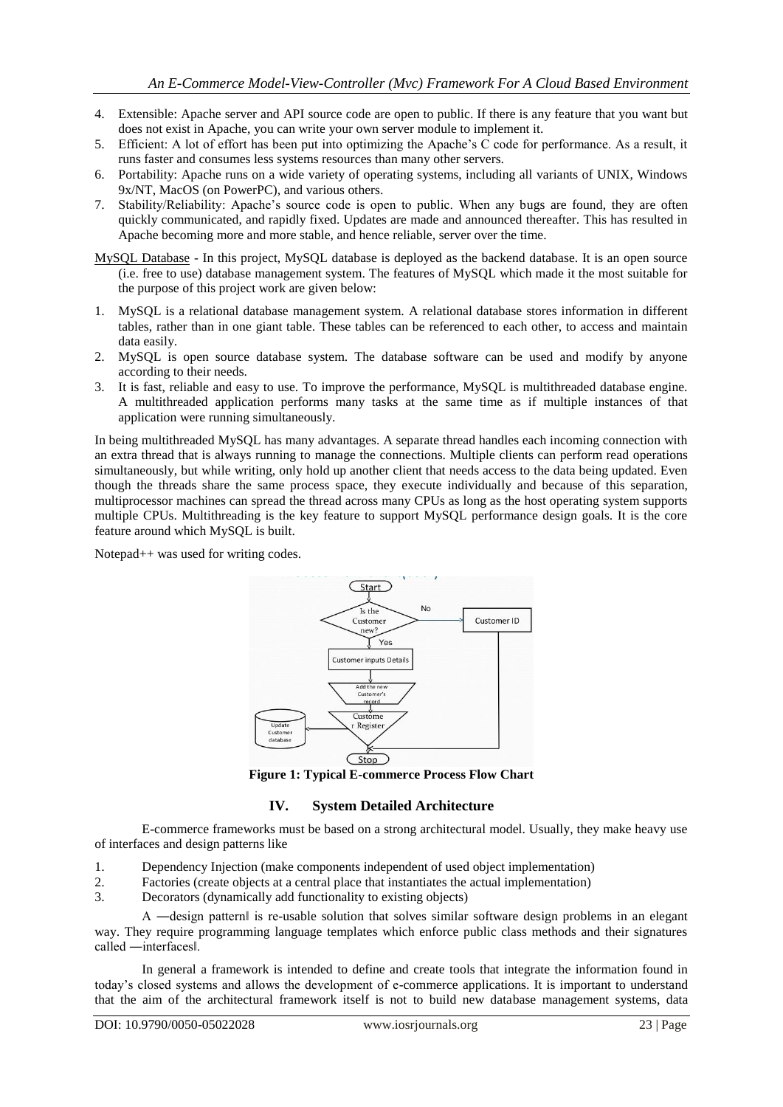- 4. Extensible: Apache server and API source code are open to public. If there is any feature that you want but does not exist in Apache, you can write your own server module to implement it.
- 5. Efficient: A lot of effort has been put into optimizing the Apache's C code for performance. As a result, it runs faster and consumes less systems resources than many other servers.
- 6. Portability: Apache runs on a wide variety of operating systems, including all variants of UNIX, Windows 9x/NT, MacOS (on PowerPC), and various others.
- 7. Stability/Reliability: Apache's source code is open to public. When any bugs are found, they are often quickly communicated, and rapidly fixed. Updates are made and announced thereafter. This has resulted in Apache becoming more and more stable, and hence reliable, server over the time.
- MySQL Database In this project, MySQL database is deployed as the backend database. It is an open source (i.e. free to use) database management system. The features of MySQL which made it the most suitable for the purpose of this project work are given below:
- 1. MySQL is a relational database management system. A relational database stores information in different tables, rather than in one giant table. These tables can be referenced to each other, to access and maintain data easily.
- 2. MySQL is open source database system. The database software can be used and modify by anyone according to their needs.
- 3. It is fast, reliable and easy to use. To improve the performance, MySQL is multithreaded database engine. A multithreaded application performs many tasks at the same time as if multiple instances of that application were running simultaneously.

In being multithreaded MySQL has many advantages. A separate thread handles each incoming connection with an extra thread that is always running to manage the connections. Multiple clients can perform read operations simultaneously, but while writing, only hold up another client that needs access to the data being updated. Even though the threads share the same process space, they execute individually and because of this separation, multiprocessor machines can spread the thread across many CPUs as long as the host operating system supports multiple CPUs. Multithreading is the key feature to support MySQL performance design goals. It is the core feature around which MySQL is built.

Notepad++ was used for writing codes.



**Figure 1: Typical E-commerce Process Flow Chart**

## **IV. System Detailed Architecture**

E-commerce frameworks must be based on a strong architectural model. Usually, they make heavy use of interfaces and design patterns like

- 1. Dependency Injection (make components independent of used object implementation)
- 2. Factories (create objects at a central place that instantiates the actual implementation)
- 3. Decorators (dynamically add functionality to existing objects)

A ―design pattern‖ is re-usable solution that solves similar software design problems in an elegant way. They require programming language templates which enforce public class methods and their signatures called ―interfaces‖.

In general a framework is intended to define and create tools that integrate the information found in today's closed systems and allows the development of e-commerce applications. It is important to understand that the aim of the architectural framework itself is not to build new database management systems, data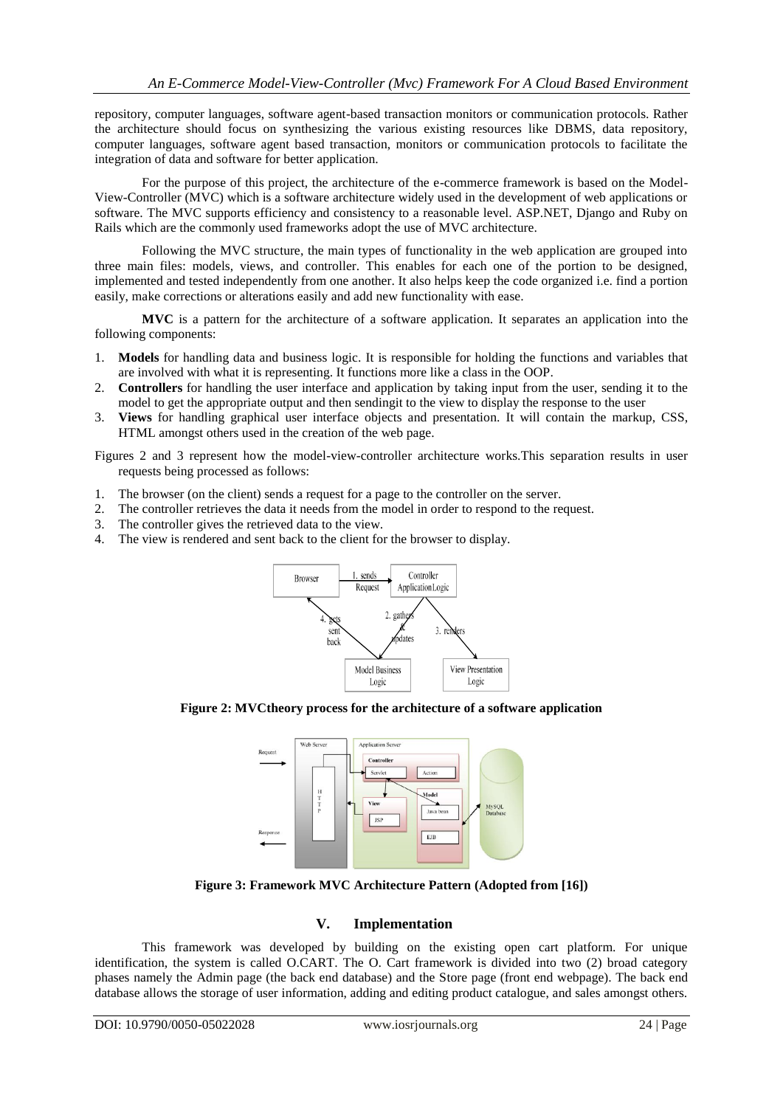repository, computer languages, software agent-based transaction monitors or communication protocols. Rather the architecture should focus on synthesizing the various existing resources like DBMS, data repository, computer languages, software agent based transaction, monitors or communication protocols to facilitate the integration of data and software for better application.

For the purpose of this project, the architecture of the e-commerce framework is based on the Model-View-Controller (MVC) which is a software architecture widely used in the development of web applications or software. The MVC supports efficiency and consistency to a reasonable level. ASP.NET, Django and Ruby on Rails which are the commonly used frameworks adopt the use of MVC architecture.

Following the MVC structure, the main types of functionality in the web application are grouped into three main files: models, views, and controller. This enables for each one of the portion to be designed, implemented and tested independently from one another. It also helps keep the code organized i.e. find a portion easily, make corrections or alterations easily and add new functionality with ease.

**MVC** is a pattern for the architecture of a software application. It separates an application into the following components:

- 1. **Models** for handling data and business logic. It is responsible for holding the functions and variables that are involved with what it is representing. It functions more like a class in the OOP.
- 2. **Controllers** for handling the user interface and application by taking input from the user, sending it to the model to get the appropriate output and then sendingit to the view to display the response to the user
- 3. **Views** for handling graphical user interface objects and presentation. It will contain the markup, CSS, HTML amongst others used in the creation of the web page.

Figures 2 and 3 represent how the model-view-controller architecture works.This separation results in user requests being processed as follows:

- 1. The browser (on the client) sends a request for a page to the controller on the server.
- 2. The controller retrieves the data it needs from the model in order to respond to the request.
- 3. The controller retrieves the data it needs  $\frac{1}{2}$ <br>3. The controller gives the retrieved data to the view.
- 4. The view is rendered and sent back to the client for the browser to display.



**Figure 2: MVCtheory process for the architecture of a software application**



**Figure 3: Framework MVC Architecture Pattern (Adopted from [16])**

## **V. Implementation**

This framework was developed by building on the existing open cart platform. For unique identification, the system is called O.CART. The O. Cart framework is divided into two (2) broad category phases namely the Admin page (the back end database) and the Store page (front end webpage). The back end database allows the storage of user information, adding and editing product catalogue, and sales amongst others.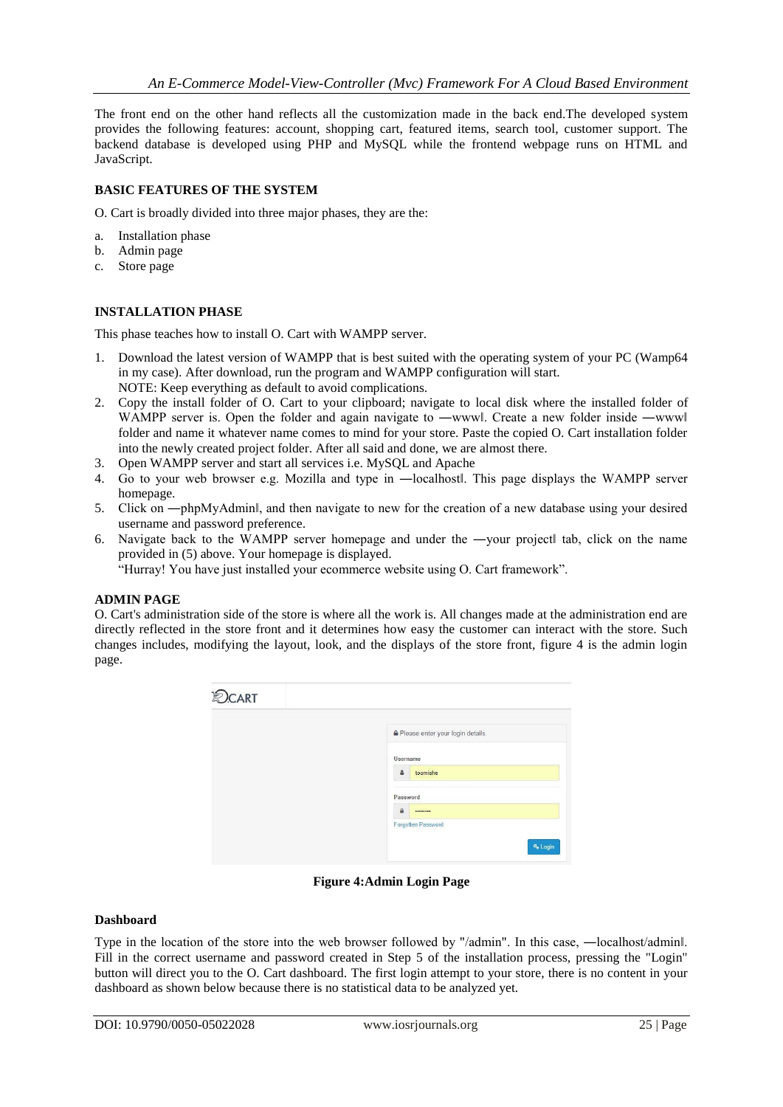The front end on the other hand reflects all the customization made in the back end.The developed system provides the following features: account, shopping cart, featured items, search tool, customer support. The backend database is developed using PHP and MySQL while the frontend webpage runs on HTML and JavaScript.

#### **BASIC FEATURES OF THE SYSTEM**

O. Cart is broadly divided into three major phases, they are the:

- a. Installation phase
- b. Admin page
- c. Store page

### **INSTALLATION PHASE**

This phase teaches how to install O. Cart with WAMPP server.

- 1. Download the latest version of WAMPP that is best suited with the operating system of your PC (Wamp64 in my case). After download, run the program and WAMPP configuration will start. NOTE: Keep everything as default to avoid complications.
- 2. Copy the install folder of O. Cart to your clipboard; navigate to local disk where the installed folder of WAMPP server is. Open the folder and again navigate to —wwwl. Create a new folder inside —wwwl folder and name it whatever name comes to mind for your store. Paste the copied O. Cart installation folder into the newly created project folder. After all said and done, we are almost there.
- 3. Open WAMPP server and start all services i.e. MySQL and Apache
- 4. Go to your web browser e.g. Mozilla and type in —localhostl. This page displays the WAMPP server homepage.
- 5. Click on —phpMyAdminl, and then navigate to new for the creation of a new database using your desired username and password preference.
- 6. Navigate back to the WAMPP server homepage and under the ―your project‖ tab, click on the name provided in (5) above. Your homepage is displayed.

"Hurray! You have just installed your ecommerce website using O. Cart framework".

#### **ADMIN PAGE**

O. Cart's administration side of the store is where all the work is. All changes made at the administration end are directly reflected in the store front and it determines how easy the customer can interact with the store. Such changes includes, modifying the layout, look, and the displays of the store front, figure 4 is the admin login page.

| <b>OCART</b> |                                      |
|--------------|--------------------------------------|
|              | Please enter your login details.     |
|              | Username                             |
|              | toomishe<br>å                        |
|              | Password                             |
|              | $\mathbf{a}$<br>                     |
|              | Forgotten Password<br><b>4</b> Login |

**Figure 4:Admin Login Page**

#### **Dashboard**

Type in the location of the store into the web browser followed by "/admin". In this case, —localhost/adminl. Fill in the correct username and password created in Step 5 of the installation process, pressing the "Login" button will direct you to the O. Cart dashboard. The first login attempt to your store, there is no content in your dashboard as shown below because there is no statistical data to be analyzed yet.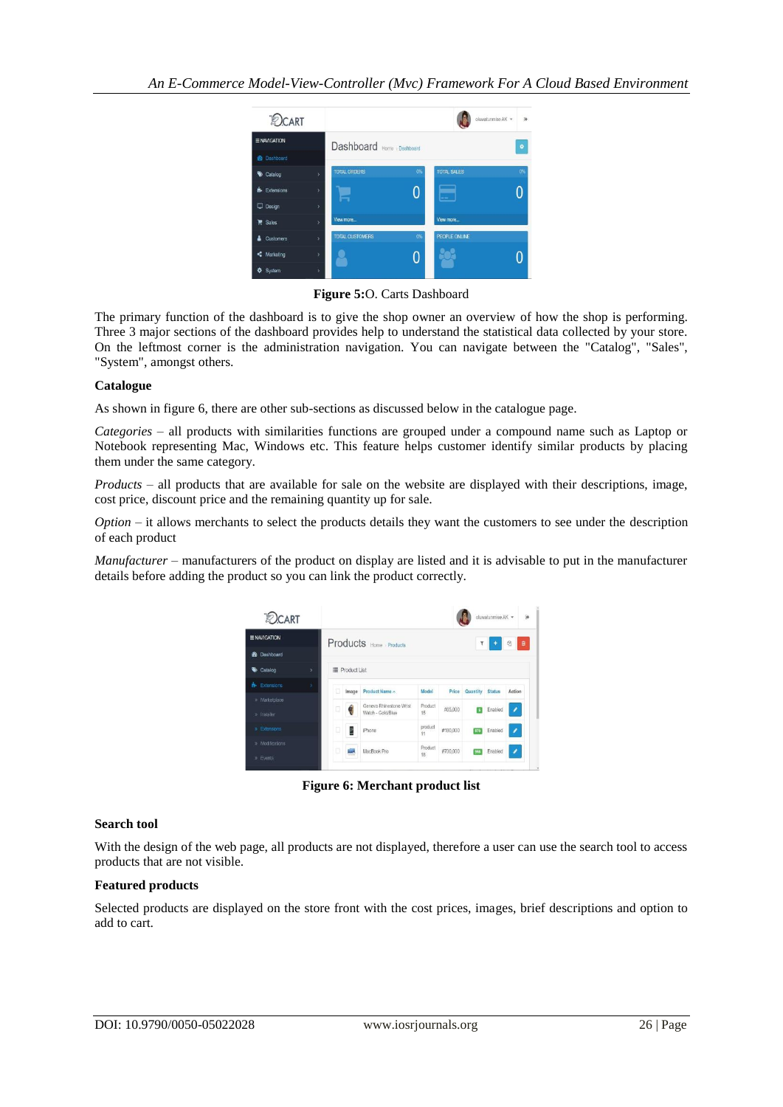

**Figure 5:**O. Carts Dashboard

The primary function of the dashboard is to give the shop owner an overview of how the shop is performing. Three 3 major sections of the dashboard provides help to understand the statistical data collected by your store. On the leftmost corner is the administration navigation. You can navigate between the "Catalog", "Sales", "System", amongst others.

#### **Catalogue**

As shown in figure 6, there are other sub-sections as discussed below in the catalogue page.

*Categories* – all products with similarities functions are grouped under a compound name such as Laptop or Notebook representing Mac, Windows etc. This feature helps customer identify similar products by placing them under the same category.

*Products* – all products that are available for sale on the website are displayed with their descriptions, image, cost price, discount price and the remaining quantity up for sale.

*Option* – it allows merchants to select the products details they want the customers to see under the description of each product

*Manufacturer* – manufacturers of the product on display are listed and it is advisable to put in the manufacturer details before adding the product so you can link the product correctly.

| <b>DCART</b>                 | oluwatunmise AK *<br>$\Theta$ |                       |       |                                              |               |          |          |               |        |  |  |
|------------------------------|-------------------------------|-----------------------|-------|----------------------------------------------|---------------|----------|----------|---------------|--------|--|--|
| <b>ENAVIGATION</b>           |                               |                       |       | Products Home Products                       |               |          | ۲        |               | Ø<br>會 |  |  |
| <b>22</b> Dashboard          |                               |                       |       |                                              |               |          |          |               |        |  |  |
| Catalog                      | ž.                            | <b>E</b> Product List |       |                                              |               |          |          |               |        |  |  |
| <b>R</b> Extensions          |                               | o                     | Image | Product Name ^                               | Model         | Price    | Quantity | <b>Status</b> | Action |  |  |
| » Marketplace<br>» Installer |                               | o                     |       | Geneva Rhinestone Wrist<br>Watch - Gold/Blue | Product<br>15 | #65,000  |          | Enabled       |        |  |  |
| » Extensions                 |                               | D                     |       | iPhone                                       | product<br>11 | #180,000 | 370      | Enabled       |        |  |  |
| » Modifications<br>» Events  |                               | ō                     |       | MacBook Pro                                  | Product<br>18 | #700,000 |          | Enabled       |        |  |  |

**Figure 6: Merchant product list**

#### **Search tool**

With the design of the web page, all products are not displayed, therefore a user can use the search tool to access products that are not visible.

#### **Featured products**

Selected products are displayed on the store front with the cost prices, images, brief descriptions and option to add to cart.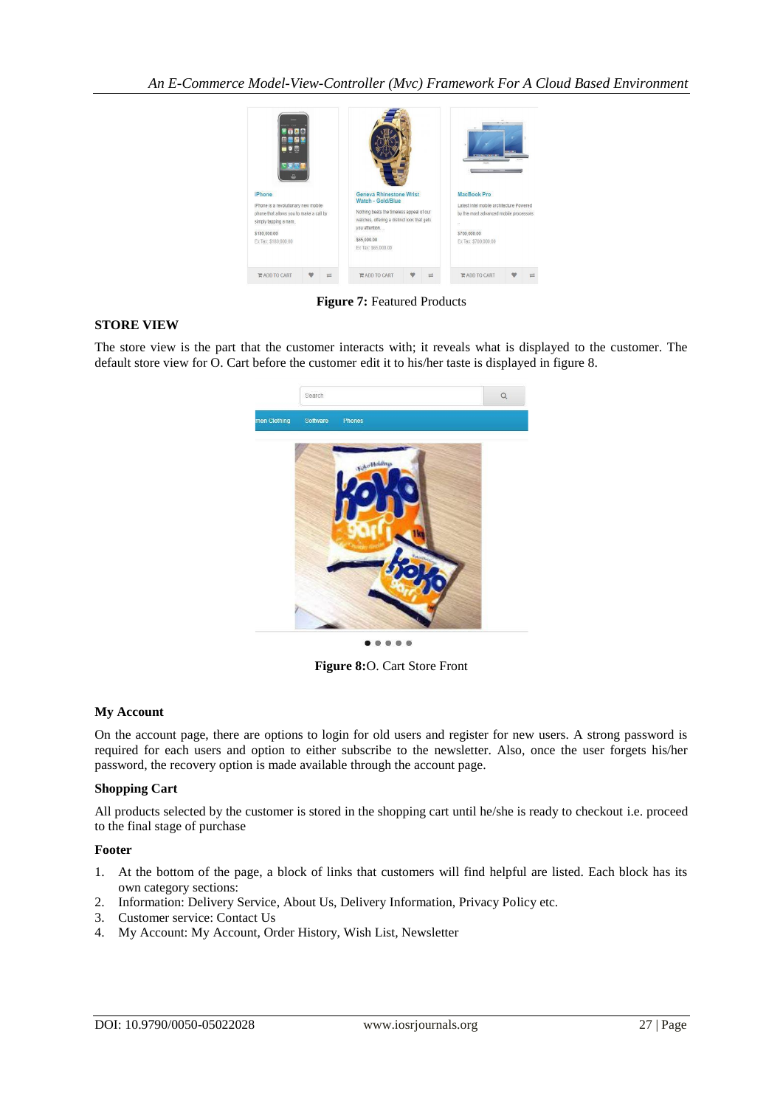

**Figure 7:** Featured Products

#### **STORE VIEW**

The store view is the part that the customer interacts with; it reveals what is displayed to the customer. The default store view for O. Cart before the customer edit it to his/her taste is displayed in figure 8.



 $\bullet$   $\bullet$   $\bullet$ 

**Figure 8:**O. Cart Store Front

#### **My Account**

On the account page, there are options to login for old users and register for new users. A strong password is required for each users and option to either subscribe to the newsletter. Also, once the user forgets his/her password, the recovery option is made available through the account page.

#### **Shopping Cart**

All products selected by the customer is stored in the shopping cart until he/she is ready to checkout i.e. proceed to the final stage of purchase

#### **Footer**

- 1. At the bottom of the page, a block of links that customers will find helpful are listed. Each block has its own category sections:
- 2. Information: Delivery Service, About Us, Delivery Information, Privacy Policy etc.
- 3. Customer service: Contact Us
- 4. My Account: My Account, Order History, Wish List, Newsletter